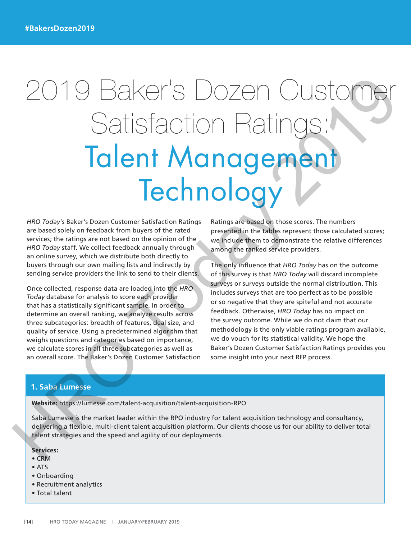# 2019 Baker's Dozen Customer Satisfaction Ratings: Talent Management **Technology** 2019 Baker to an electron customer statistical company and the survey and the survey of the statistical company is the result of the statistical company is the result of the statistical company is the result of the compan

*HRO Today*'s Baker's Dozen Customer Satisfaction Ratings are based solely on feedback from buyers of the rated services; the ratings are not based on the opinion of the *HRO Today* staff. We collect feedback annually through an online survey, which we distribute both directly to buyers through our own mailing lists and indirectly by sending service providers the link to send to their clients.

Once collected, response data are loaded into the *HRO Today* database for analysis to score each provider that has a statistically significant sample. In order to determine an overall ranking, we analyze results across three subcategories: breadth of features, deal size, and quality of service. Using a predetermined algorithm that weighs questions and categories based on importance, we calculate scores in all three subcategories as well as an overall score. The Baker's Dozen Customer Satisfaction Ratings are based on those scores. The numbers presented in the tables represent those calculated scores; we include them to demonstrate the relative differences among the ranked service providers.

The only influence that *HRO Today* has on the outcome of this survey is that *HRO Today* will discard incomplete surveys or surveys outside the normal distribution. This includes surveys that are too perfect as to be possible or so negative that they are spiteful and not accurate feedback. Otherwise, *HRO Today* has no impact on the survey outcome. While we do not claim that our methodology is the only viable ratings program available, we do vouch for its statistical validity. We hope the Baker's Dozen Customer Satisfaction Ratings provides you some insight into your next RFP process.

# **1. Saba Lumesse**

Website: https://lumesse.com/talent-acquisition/talent-acquisition-RPO

Saba Lumesse is the market leader within the RPO industry for talent acquisition technology and consultancy, delivering a flexible, multi-client talent acquisition platform. Our clients choose us for our ability to deliver total talent strategies and the speed and agility of our deployments.

## Services:

- CRM
- ATS
- Onboarding
- Recruitment analytics
- Total talent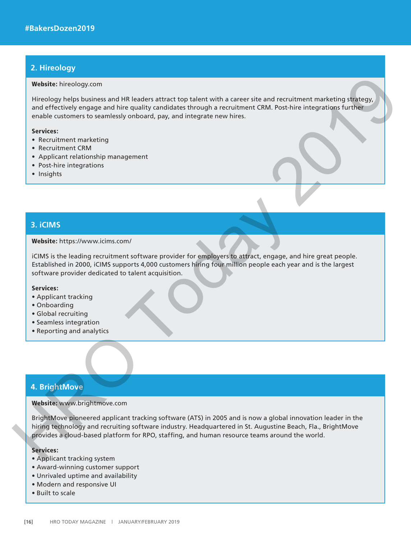# **2. Hireology**

#### Website: hireology.com

Hireology helps business and HR leaders attract top talent with a career site and recruitment marketing strategy, and effectively engage and hire quality candidates through a recruitment CRM. Post-hire integrations further enable customers to seamlessly onboard, pay, and integrate new hires. Website: himology.com<br>
Interdepty business and HR leaders attact top talent with a career site and recultiment marketing solveges)<br>
and effectively reappea ond him enailty condicites through a neutrities CRM. Post him inte

#### Services:

- Recruitment marketing
- Recruitment CRM
- Applicant relationship management
- Post-hire integrations
- Insights

# **3. iCIMS**

#### Website: https://www.icims.com/

iCIMS is the leading recruitment software provider for employers to attract, engage, and hire great people. Established in 2000, iCIMS supports 4,000 customers hiring four million people each year and is the largest software provider dedicated to talent acquisition.

## Services:

- Applicant tracking
- Onboarding
- Global recruiting
- Seamless integration
- Reporting and analytics

# **4. BrightMove**

#### Website: www.brightmove.com

BrightMove pioneered applicant tracking software (ATS) in 2005 and is now a global innovation leader in the hiring technology and recruiting software industry. Headquartered in St. Augustine Beach, Fla., BrightMove provides a cloud-based platform for RPO, staffing, and human resource teams around the world.

# Services:

- Applicant tracking system
- Award-winning customer support
- Unrivaled uptime and availability
- Modern and responsive UI
- Built to scale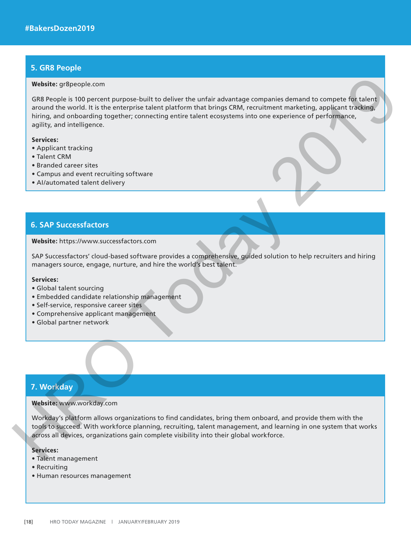# **5. GR8 People**

#### Website: gr8people.com

GR8 People is 100 percent purpose-built to deliver the unfair advantage companies demand to compete for talent around the world. It is the enterprise talent platform that brings CRM, recruitment marketing, applicant tracking, hiring, and onboarding together; connecting entire talent ecosystems into one experience of performance, agility, and intelligence. Website: grappe com<br>
GRB exoptis i to percent purpose-built to deliver the unitar advantage companies denand to compete to talent<br>
simulative simulation of the enterprise talent platform that brings CRM, recultment macketi

#### Services:

- Applicant tracking
- Talent CRM
- Branded career sites
- Campus and event recruiting software
- AI/automated talent delivery

# **6. SAP Successfactors**

## Website: https://www.successfactors.com

SAP Successfactors' cloud-based software provides a comprehensive, guided solution to help recruiters and hiring managers source, engage, nurture, and hire the world's best talent.

## Services:

- Global talent sourcing
- Embedded candidate relationship management
- Self-service, responsive career sites
- Comprehensive applicant management
- Global partner network

# **7. Workday**

#### Website: www.workday.com

Workday's platform allows organizations to find candidates, bring them onboard, and provide them with the tools to succeed. With workforce planning, recruiting, talent management, and learning in one system that works across all devices, organizations gain complete visibility into their global workforce.

# Services:

- Talent management
- Recruiting
- Human resources management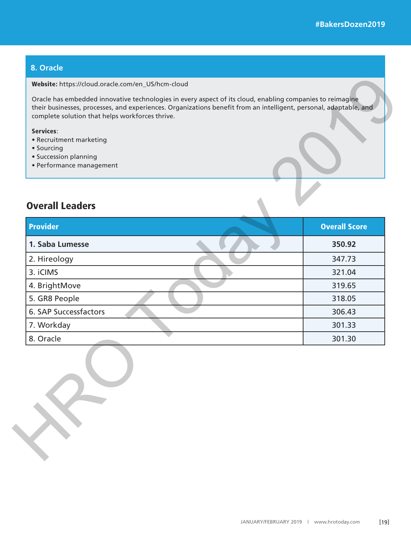# **8. Oracle**

#### Website: https://cloud.oracle.com/en\_US/hcm-cloud

## Services:

- Recruitment marketing
- Sourcing
- Succession planning
- Performance management

# Overall Leaders

| <b>Overall Leaders</b> |                      |
|------------------------|----------------------|
|                        |                      |
| <b>Provider</b>        | <b>Overall Score</b> |
| 1. Saba Lumesse        | 350.92               |
| 2. Hireology           | 347.73               |
| 3. iCIMS               | 321.04               |
| 4. BrightMove          | 319.65               |
| 5. GR8 People          | 318.05               |
| 6. SAP Successfactors  | 306.43               |
| 7. Workday             | 301.33               |
| 8. Oracle              | 301.30               |
|                        |                      |